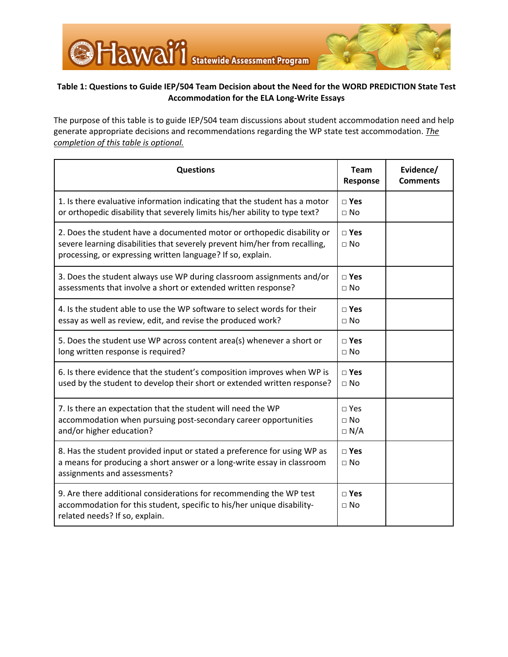

## **Table 1: Questions to Guide IEP/504 Team Decision about the Need for the WORD PREDICTION State Test Accommodation for the ELA Long-Write Essays**

The purpose of this table is to guide IEP/504 team discussions about student accommodation need and help generate appropriate decisions and recommendations regarding the WP state test accommodation. *The completion of this table is optional.*

| <b>Questions</b>                                                                                                                                                                                                     | <b>Team</b><br>Response                 | Evidence/<br><b>Comments</b> |
|----------------------------------------------------------------------------------------------------------------------------------------------------------------------------------------------------------------------|-----------------------------------------|------------------------------|
| 1. Is there evaluative information indicating that the student has a motor<br>or orthopedic disability that severely limits his/her ability to type text?                                                            | □ Yes<br>$\sqcap$ No                    |                              |
| 2. Does the student have a documented motor or orthopedic disability or<br>severe learning disabilities that severely prevent him/her from recalling,<br>processing, or expressing written language? If so, explain. | $\square$ Yes<br>$\sqcap$ No            |                              |
| 3. Does the student always use WP during classroom assignments and/or<br>assessments that involve a short or extended written response?                                                                              | □ Yes<br>$\sqcap$ No                    |                              |
| 4. Is the student able to use the WP software to select words for their<br>essay as well as review, edit, and revise the produced work?                                                                              | $\square$ Yes<br>$\sqcap$ No            |                              |
| 5. Does the student use WP across content area(s) whenever a short or<br>long written response is required?                                                                                                          | $\square$ Yes<br>$\Box$ No              |                              |
| 6. Is there evidence that the student's composition improves when WP is<br>used by the student to develop their short or extended written response?                                                                  | $\sqcap$ Yes<br>$\sqcap$ No             |                              |
| 7. Is there an expectation that the student will need the WP<br>accommodation when pursuing post-secondary career opportunities<br>and/or higher education?                                                          | $\sqcap$ Yes<br>$\Box$ No<br>$\Box$ N/A |                              |
| 8. Has the student provided input or stated a preference for using WP as<br>a means for producing a short answer or a long-write essay in classroom<br>assignments and assessments?                                  | □ Yes<br>$\sqcap$ No                    |                              |
| 9. Are there additional considerations for recommending the WP test<br>accommodation for this student, specific to his/her unique disability-<br>related needs? If so, explain.                                      | □ Yes<br>$\Box$ No                      |                              |